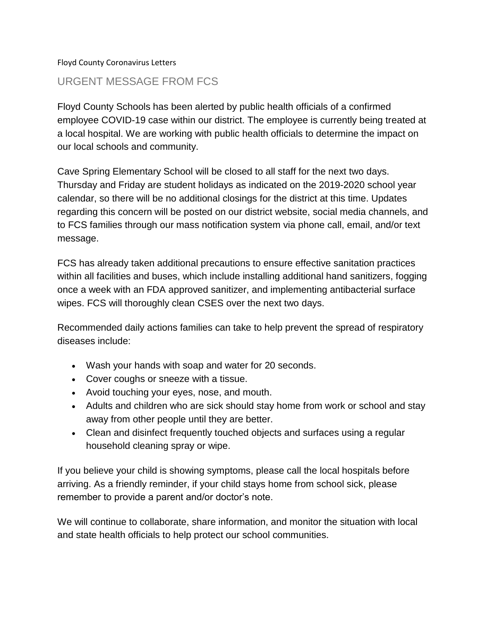#### Floyd County Coronavirus Letters

## URGENT MESSAGE FROM FCS

Floyd County Schools has been alerted by public health officials of a confirmed employee COVID-19 case within our district. The employee is currently being treated at a local hospital. We are working with public health officials to determine the impact on our local schools and community.

Cave Spring Elementary School will be closed to all staff for the next two days. Thursday and Friday are student holidays as indicated on the 2019-2020 school year calendar, so there will be no additional closings for the district at this time. Updates regarding this concern will be posted on our district website, social media channels, and to FCS families through our mass notification system via phone call, email, and/or text message.

FCS has already taken additional precautions to ensure effective sanitation practices within all facilities and buses, which include installing additional hand sanitizers, fogging once a week with an FDA approved sanitizer, and implementing antibacterial surface wipes. FCS will thoroughly clean CSES over the next two days.

Recommended daily actions families can take to help prevent the spread of respiratory diseases include:

- Wash your hands with soap and water for 20 seconds.
- Cover coughs or sneeze with a tissue.
- Avoid touching your eyes, nose, and mouth.
- Adults and children who are sick should stay home from work or school and stay away from other people until they are better.
- Clean and disinfect frequently touched objects and surfaces using a regular household cleaning spray or wipe.

If you believe your child is showing symptoms, please call the local hospitals before arriving. As a friendly reminder, if your child stays home from school sick, please remember to provide a parent and/or doctor's note.

We will continue to collaborate, share information, and monitor the situation with local and state health officials to help protect our school communities.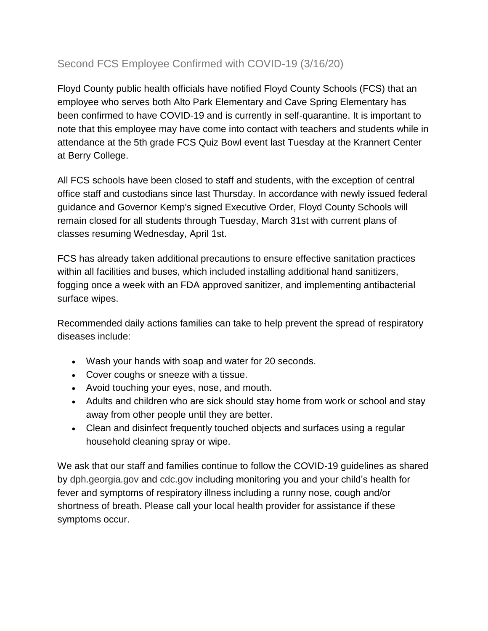# Second FCS Employee Confirmed with COVID-19 (3/16/20)

Floyd County public health officials have notified Floyd County Schools (FCS) that an employee who serves both Alto Park Elementary and Cave Spring Elementary has been confirmed to have COVID-19 and is currently in self-quarantine. It is important to note that this employee may have come into contact with teachers and students while in attendance at the 5th grade FCS Quiz Bowl event last Tuesday at the Krannert Center at Berry College.

All FCS schools have been closed to staff and students, with the exception of central office staff and custodians since last Thursday. In accordance with newly issued federal guidance and Governor Kemp's signed Executive Order, Floyd County Schools will remain closed for all students through Tuesday, March 31st with current plans of classes resuming Wednesday, April 1st.

FCS has already taken additional precautions to ensure effective sanitation practices within all facilities and buses, which included installing additional hand sanitizers, fogging once a week with an FDA approved sanitizer, and implementing antibacterial surface wipes.

Recommended daily actions families can take to help prevent the spread of respiratory diseases include:

- Wash your hands with soap and water for 20 seconds.
- Cover coughs or sneeze with a tissue.
- Avoid touching your eyes, nose, and mouth.
- Adults and children who are sick should stay home from work or school and stay away from other people until they are better.
- Clean and disinfect frequently touched objects and surfaces using a regular household cleaning spray or wipe.

We ask that our staff and families continue to follow the COVID-19 guidelines as shared by [dph.georgia.gov](https://dph.georgia.gov/) and [cdc.gov](https://www.cdc.gov/) including monitoring you and your child's health for fever and symptoms of respiratory illness including a runny nose, cough and/or shortness of breath. Please call your local health provider for assistance if these symptoms occur.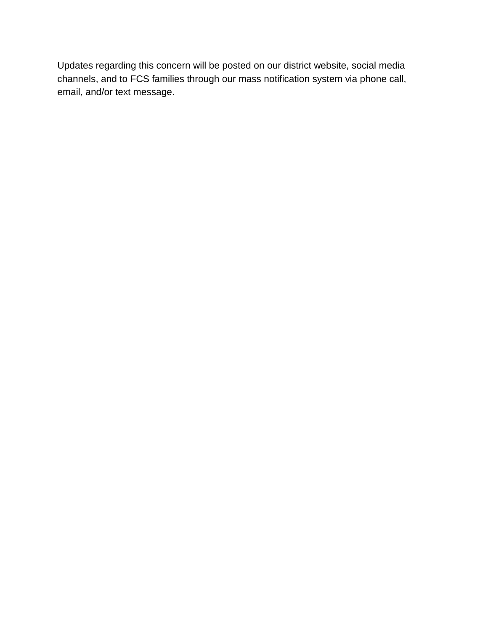Updates regarding this concern will be posted on our district website, social media channels, and to FCS families through our mass notification system via phone call, email, and/or text message.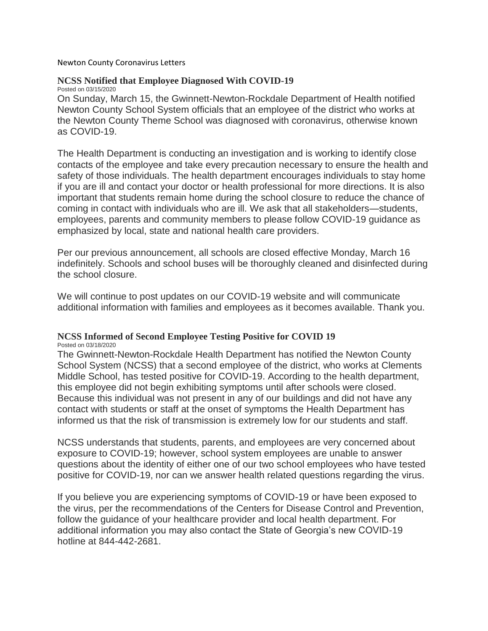Newton County Coronavirus Letters

#### **NCSS Notified that Employee Diagnosed With COVID-19** Posted on 03/15/2020

On Sunday, March 15, the Gwinnett-Newton-Rockdale Department of Health notified Newton County School System officials that an employee of the district who works at the Newton County Theme School was diagnosed with coronavirus, otherwise known as COVID-19.

The Health Department is conducting an investigation and is working to identify close contacts of the employee and take every precaution necessary to ensure the health and safety of those individuals. The health department encourages individuals to stay home if you are ill and contact your doctor or health professional for more directions. It is also important that students remain home during the school closure to reduce the chance of coming in contact with individuals who are ill. We ask that all stakeholders—students, employees, parents and community members to please follow COVID-19 guidance as emphasized by local, state and national health care providers.

Per our previous announcement, all schools are closed effective Monday, March 16 indefinitely. Schools and school buses will be thoroughly cleaned and disinfected during the school closure.

We will continue to post updates on our COVID-19 website and will communicate additional information with families and employees as it becomes available. Thank you.

### **NCSS Informed of Second Employee Testing Positive for COVID 19**

Posted on 03/18/2020

The Gwinnett-Newton-Rockdale Health Department has notified the Newton County School System (NCSS) that a second employee of the district, who works at Clements Middle School, has tested positive for COVID-19. According to the health department, this employee did not begin exhibiting symptoms until after schools were closed. Because this individual was not present in any of our buildings and did not have any contact with students or staff at the onset of symptoms the Health Department has informed us that the risk of transmission is extremely low for our students and staff.

NCSS understands that students, parents, and employees are very concerned about exposure to COVID-19; however, school system employees are unable to answer questions about the identity of either one of our two school employees who have tested positive for COVID-19, nor can we answer health related questions regarding the virus.

If you believe you are experiencing symptoms of COVID-19 or have been exposed to the virus, per the recommendations of the Centers for Disease Control and Prevention, follow the guidance of your healthcare provider and local health department. For additional information you may also contact the State of Georgia's new COVID-19 hotline at 844-442-2681.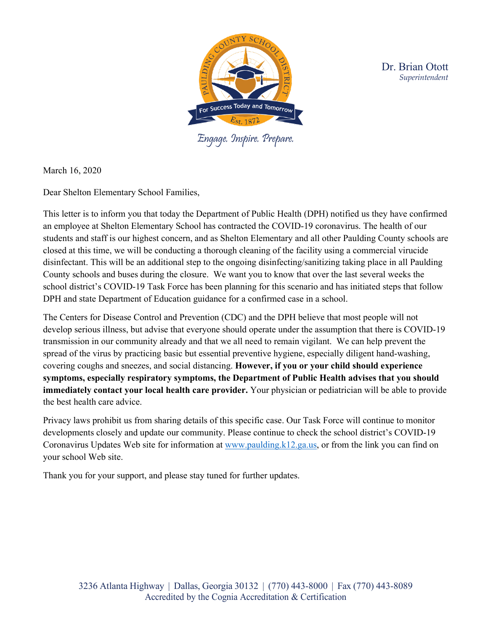

 Dr. Brian Otott *Superintendent*

Engage. Inspire. Prepare.

March 16, 2020

Dear Shelton Elementary School Families,

This letter is to inform you that today the Department of Public Health (DPH) notified us they have confirmed an employee at Shelton Elementary School has contracted the COVID-19 coronavirus. The health of our students and staff is our highest concern, and as Shelton Elementary and all other Paulding County schools are closed at this time, we will be conducting a thorough cleaning of the facility using a commercial virucide disinfectant. This will be an additional step to the ongoing disinfecting/sanitizing taking place in all Paulding County schools and buses during the closure. We want you to know that over the last several weeks the school district's COVID-19 Task Force has been planning for this scenario and has initiated steps that follow DPH and state Department of Education guidance for a confirmed case in a school.

The Centers for Disease Control and Prevention (CDC) and the DPH believe that most people will not develop serious illness, but advise that everyone should operate under the assumption that there is COVID-19 transmission in our community already and that we all need to remain vigilant. We can help prevent the spread of the virus by practicing basic but essential preventive hygiene, especially diligent hand-washing, covering coughs and sneezes, and social distancing. **However, if you or your child should experience symptoms, especially respiratory symptoms, the Department of Public Health advises that you should immediately contact your local health care provider.** Your physician or pediatrician will be able to provide the best health care advice.

Privacy laws prohibit us from sharing details of this specific case. Our Task Force will continue to monitor developments closely and update our community. Please continue to check the school district's COVID-19 Coronavirus Updates Web site for information at [www.paulding.k12.ga.us,](http://www.paulding.k12.ga.us/) or from the link you can find on your school Web site.

Thank you for your support, and please stay tuned for further updates.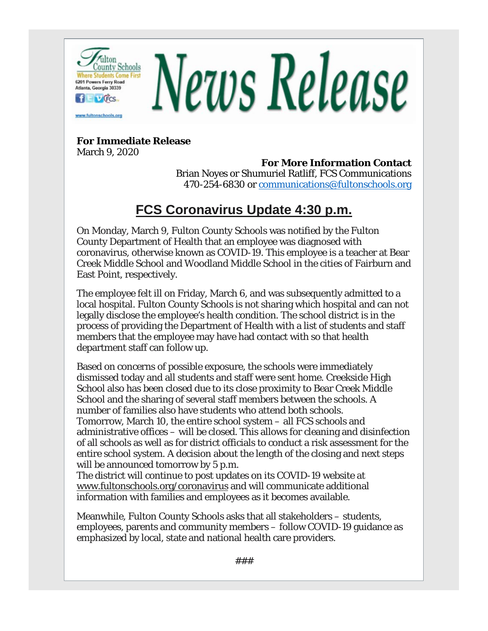

# **For Immediate Release**

March 9, 2020

**For More Information Contact** Brian Noyes or Shumuriel Ratliff, FCS Communications 470-254-6830 or [communications@fultonschools.org](mailto:communications@fultonschools.org)

# **FCS Coronavirus Update 4:30 p.m.**

On Monday, March 9, Fulton County Schools was notified by the Fulton County Department of Health that an employee was diagnosed with coronavirus, otherwise known as COVID-19. This employee is a teacher at Bear Creek Middle School and Woodland Middle School in the cities of Fairburn and East Point, respectively.

The employee felt ill on Friday, March 6, and was subsequently admitted to a local hospital. Fulton County Schools is not sharing which hospital and can not legally disclose the employee's health condition. The school district is in the process of providing the Department of Health with a list of students and staff members that the employee may have had contact with so that health department staff can follow up.

Based on concerns of possible exposure, the schools were immediately dismissed today and all students and staff were sent home. Creekside High School also has been closed due to its close proximity to Bear Creek Middle School and the sharing of several staff members between the schools. A number of families also have students who attend both schools. Tomorrow, March 10, the entire school system – all FCS schools and administrative offices – will be closed. This allows for cleaning and disinfection of all schools as well as for district officials to conduct a risk assessment for the entire school system. A decision about the length of the closing and next steps will be announced tomorrow by 5 p.m.

The district will continue to post updates on its COVID-19 website at [www.fultonschools.org/coronavirus](https://nam03.safelinks.protection.outlook.com/?url=http%3A%2F%2Fr20.rs6.net%2Ftn.jsp%3Ff%3D001ydEsfSlCDlSb_SEDw6AEKo42jGHGlAC6SI5ir1f0qQzixEuvlI0INCLS8o-sCzyf9onfvMzKy7Aa9HUGikoZRRuR3LBPGShuJBbMxl2olGmcwfqufQvtjRPEfZPvDjyWqSD9joEHaCUWG9nCh_BN02pxS7dgNdW-BrfUIlUSyHA%3D%26c%3DNVTMWKAa0KEtRbvX10IflwJ2Al6ir4TCnxmohzG_mDaf_uPq6LJOJA%3D%3D%26ch%3DEU2GV2KspaezmjQUGwTOy_nEBAR6a9VQxzn3lo74Mx6I6_RvDFqivQ%3D%3D&data=02%7C01%7Chilllw%40fultonschools.org%7Ca8d78f031d494b7622b408d7c468b319%7C0cdcb19881694b70ba9fda7e3ba700c2%7C1%7C0%7C637193826275271924&sdata=u%2BJAGf31gLctT%2FVXYsoCNAI68F3bXVSm31TsnJWMvdE%3D&reserved=0) and will communicate additional information with families and employees as it becomes available.

Meanwhile, Fulton County Schools asks that all stakeholders – students, employees, parents and community members – follow COVID-19 guidance as emphasized by local, state and national health care providers.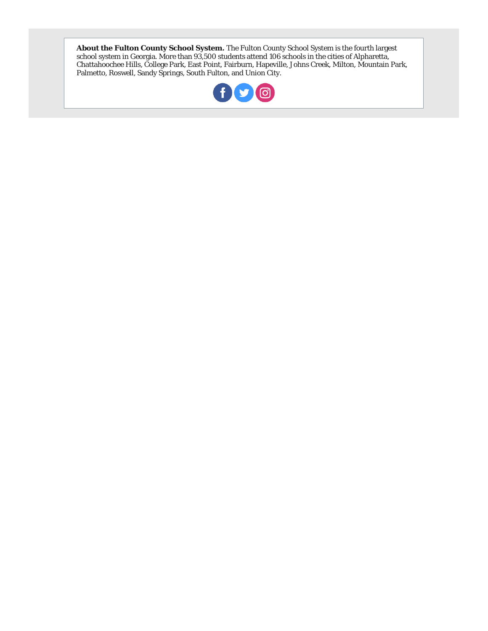**About the Fulton County School System.** The Fulton County School System is the fourth largest school system in Georgia. More than 93,500 students attend 106 schools in the cities of Alpharetta, Chattahoochee Hills, College Park, East Point, Fairburn, Hapeville, Johns Creek, Milton, Mountain Park, Palmetto, Roswell, Sandy Springs, South Fulton, and Union City.

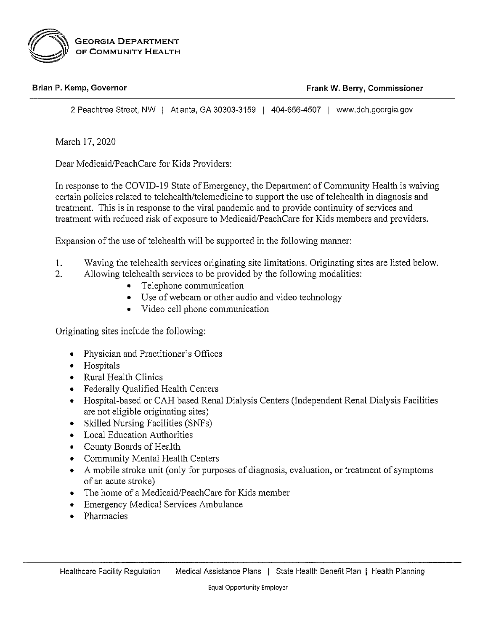

#### Brian P. Kemp, Governor

Frank W. Berry, Commissioner

2 Peachtree Street, NW | Atlanta, GA 30303-3159 | 404-656-4507 | www.dch.georgia.gov

March 17, 2020

 $\overline{2}$ .

Dear Medicaid/PeachCare for Kids Providers:

In response to the COVID-19 State of Emergency, the Department of Community Health is waiving certain policies related to telehealth/telemedicine to support the use of telehealth in diagnosis and treatment. This is in response to the viral pandemic and to provide continuity of services and treatment with reduced risk of exposure to Medicaid/PeachCare for Kids members and providers.

Expansion of the use of telehealth will be supported in the following manner:

- 1. Waving the telehealth services originating site limitations. Originating sites are listed below.
	- Allowing telehealth services to be provided by the following modalities:
		- Telephone communication  $\bullet$
		- Use of webcam or other audio and video technology
		- Video cell phone communication

Originating sites include the following:

- Physician and Practitioner's Offices
- Hospitals
- Rural Health Clinics
- Federally Qualified Health Centers
- Hospital-based or CAH based Renal Dialysis Centers (Independent Renal Dialysis Facilities are not eligible originating sites)
- Skilled Nursing Facilities (SNFs)  $\bullet$
- Local Education Authorities
- County Boards of Health
- Community Mental Health Centers
- A mobile stroke unit (only for purposes of diagnosis, evaluation, or treatment of symptoms of an acute stroke)
- The home of a Medicaid/PeachCare for Kids member
- **Emergency Medical Services Ambulance**  $\bullet$
- Pharmacies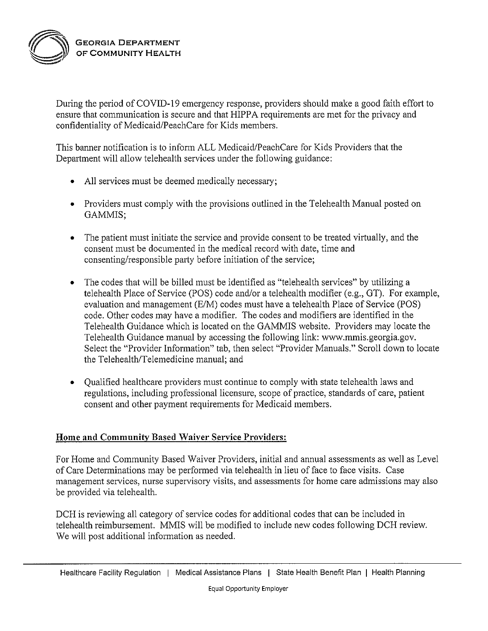

During the period of COVID-19 emergency response, providers should make a good faith effort to ensure that communication is secure and that HIPPA requirements are met for the privacy and confidentiality of Medicaid/PeachCare for Kids members.

This banner notification is to inform ALL Medicaid/PeachCare for Kids Providers that the Department will allow telehealth services under the following guidance:

- All services must be deemed medically necessary;
- Providers must comply with the provisions outlined in the Telehealth Manual posted on GAMMIS;
- The patient must initiate the service and provide consent to be treated virtually, and the  $\bullet$ consent must be documented in the medical record with date, time and consenting/responsible party before initiation of the service;
- The codes that will be billed must be identified as "telehealth services" by utilizing a telehealth Place of Service (POS) code and/or a telehealth modifier (e.g., GT). For example, evaluation and management (E/M) codes must have a telehealth Place of Service (POS) code. Other codes may have a modifier. The codes and modifiers are identified in the Telehealth Guidance which is located on the GAMMIS website. Providers may locate the Telehealth Guidance manual by accessing the following link: www.mmis.georgia.gov. Select the "Provider Information" tab, then select "Provider Manuals." Scroll down to locate the Telehealth/Telemedicine manual; and
- Qualified healthcare providers must continue to comply with state telehealth laws and regulations, including professional licensure, scope of practice, standards of care, patient consent and other payment requirements for Medicaid members.

### Home and Community Based Waiver Service Providers:

For Home and Community Based Waiver Providers, initial and annual assessments as well as Level of Care Determinations may be performed via telehealth in lieu of face to face visits. Case management services, nurse supervisory visits, and assessments for home care admissions may also be provided via telehealth.

DCH is reviewing all category of service codes for additional codes that can be included in telehealth reimbursement. MMIS will be modified to include new codes following DCH review. We will post additional information as needed.